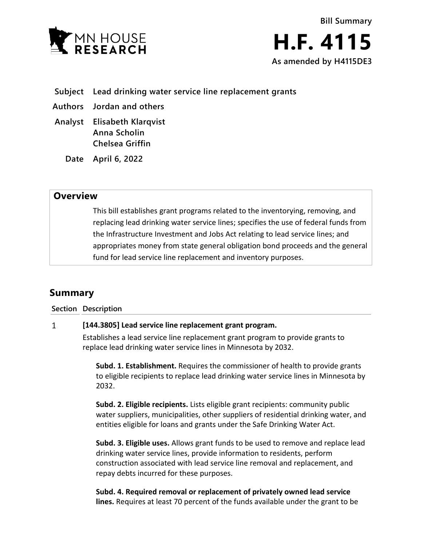



- **Subject Lead drinking water service line replacement grants**
- **Authors Jordan and others**
- **Analyst Elisabeth Klarqvist Anna Scholin Chelsea Griffin**
	- **Date April 6, 2022**

## **Overview**

This bill establishes grant programs related to the inventorying, removing, and replacing lead drinking water service lines; specifies the use of federal funds from the Infrastructure Investment and Jobs Act relating to lead service lines; and appropriates money from state general obligation bond proceeds and the general fund for lead service line replacement and inventory purposes.

# **Summary**

**Section Description**

#### $\mathbf{1}$ **[144.3805] Lead service line replacement grant program.**

Establishes a lead service line replacement grant program to provide grants to replace lead drinking water service lines in Minnesota by 2032.

**Subd. 1. Establishment.** Requires the commissioner of health to provide grants to eligible recipients to replace lead drinking water service lines in Minnesota by 2032.

**Subd. 2. Eligible recipients.** Lists eligible grant recipients: community public water suppliers, municipalities, other suppliers of residential drinking water, and entities eligible for loans and grants under the Safe Drinking Water Act.

**Subd. 3. Eligible uses.** Allows grant funds to be used to remove and replace lead drinking water service lines, provide information to residents, perform construction associated with lead service line removal and replacement, and repay debts incurred for these purposes.

**Subd. 4. Required removal or replacement of privately owned lead service lines.** Requires at least 70 percent of the funds available under the grant to be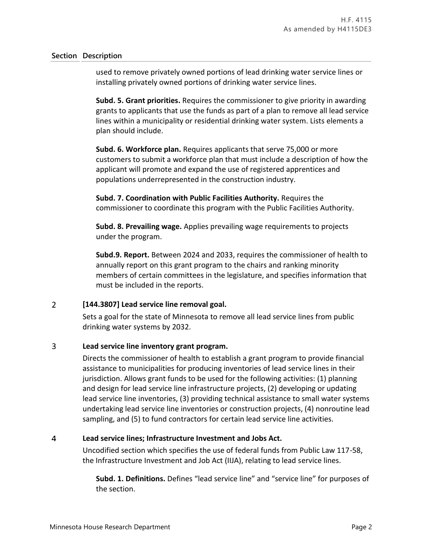### **Section Description**

used to remove privately owned portions of lead drinking water service lines or installing privately owned portions of drinking water service lines.

**Subd. 5. Grant priorities.** Requires the commissioner to give priority in awarding grants to applicants that use the funds as part of a plan to remove all lead service lines within a municipality or residential drinking water system. Lists elements a plan should include.

**Subd. 6. Workforce plan.** Requires applicants that serve 75,000 or more customers to submit a workforce plan that must include a description of how the applicant will promote and expand the use of registered apprentices and populations underrepresented in the construction industry.

**Subd. 7. Coordination with Public Facilities Authority.** Requires the commissioner to coordinate this program with the Public Facilities Authority.

**Subd. 8. Prevailing wage.** Applies prevailing wage requirements to projects under the program.

**Subd.9. Report.** Between 2024 and 2033, requires the commissioner of health to annually report on this grant program to the chairs and ranking minority members of certain committees in the legislature, and specifies information that must be included in the reports.

#### $\overline{2}$ **[144.3807] Lead service line removal goal.**

Sets a goal for the state of Minnesota to remove all lead service lines from public drinking water systems by 2032.

#### $\overline{3}$ **Lead service line inventory grant program.**

Directs the commissioner of health to establish a grant program to provide financial assistance to municipalities for producing inventories of lead service lines in their jurisdiction. Allows grant funds to be used for the following activities: (1) planning and design for lead service line infrastructure projects, (2) developing or updating lead service line inventories, (3) providing technical assistance to small water systems undertaking lead service line inventories or construction projects, (4) nonroutine lead sampling, and (5) to fund contractors for certain lead service line activities.

#### $\overline{\mathbf{4}}$ **Lead service lines; Infrastructure Investment and Jobs Act.**

Uncodified section which specifies the use of federal funds from Public Law 117-58, the Infrastructure Investment and Job Act (IIJA), relating to lead service lines.

**Subd. 1. Definitions.** Defines "lead service line" and "service line" for purposes of the section.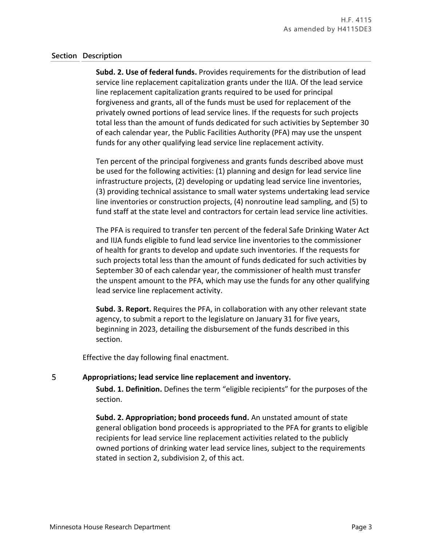### **Section Description**

**Subd. 2. Use of federal funds.** Provides requirements for the distribution of lead service line replacement capitalization grants under the IIJA. Of the lead service line replacement capitalization grants required to be used for principal forgiveness and grants, all of the funds must be used for replacement of the privately owned portions of lead service lines. If the requests for such projects total less than the amount of funds dedicated for such activities by September 30 of each calendar year, the Public Facilities Authority (PFA) may use the unspent funds for any other qualifying lead service line replacement activity.

Ten percent of the principal forgiveness and grants funds described above must be used for the following activities: (1) planning and design for lead service line infrastructure projects, (2) developing or updating lead service line inventories, (3) providing technical assistance to small water systems undertaking lead service line inventories or construction projects, (4) nonroutine lead sampling, and (5) to fund staff at the state level and contractors for certain lead service line activities.

The PFA is required to transfer ten percent of the federal Safe Drinking Water Act and IIJA funds eligible to fund lead service line inventories to the commissioner of health for grants to develop and update such inventories. If the requests for such projects total less than the amount of funds dedicated for such activities by September 30 of each calendar year, the commissioner of health must transfer the unspent amount to the PFA, which may use the funds for any other qualifying lead service line replacement activity.

**Subd. 3. Report.** Requires the PFA, in collaboration with any other relevant state agency, to submit a report to the legislature on January 31 for five years, beginning in 2023, detailing the disbursement of the funds described in this section.

Effective the day following final enactment.

#### 5 **Appropriations; lead service line replacement and inventory.**

**Subd. 1. Definition.** Defines the term "eligible recipients" for the purposes of the section.

**Subd. 2. Appropriation; bond proceeds fund.** An unstated amount of state general obligation bond proceeds is appropriated to the PFA for grants to eligible recipients for lead service line replacement activities related to the publicly owned portions of drinking water lead service lines, subject to the requirements stated in section 2, subdivision 2, of this act.